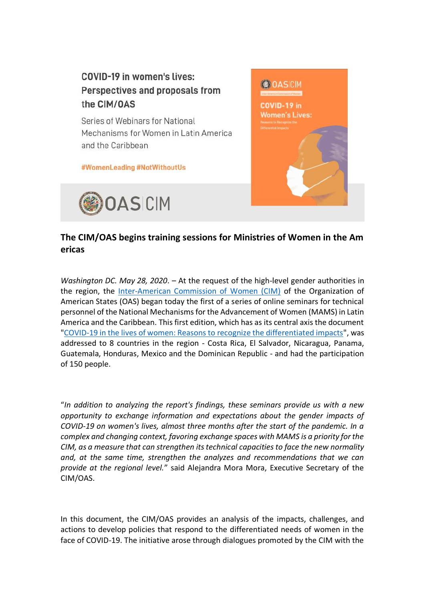

## **The CIM/OAS begins training sessions for Ministries of Women in the Am ericas**

*Washington DC. May 28, 2020*. – At the request of the high-level gender authorities in the region, the [Inter-American Commission of Women \(CIM\)](http://www.oas.org/en/cim/default.asp) of the Organization of American States (OAS) began today the first of a series of online seminars for technical personnel of the National Mechanisms for the Advancement of Women (MAMS) in Latin America and the Caribbean. This first edition, which has as its central axis the document ["COVID-19 in the lives of women: Reasons to recognize the differentiated impacts"](http://www.oas.org/es/cim/docs/ArgumentarioCOVID19-EN.pdf), was addressed to 8 countries in the region - Costa Rica, El Salvador, Nicaragua, Panama, Guatemala, Honduras, Mexico and the Dominican Republic - and had the participation of 150 people.

"*In addition to analyzing the report's findings, these seminars provide us with a new opportunity to exchange information and expectations about the gender impacts of COVID-19 on women's lives, almost three months after the start of the pandemic. In a complex and changing context, favoring exchange spaces with MAMS is a priority for the CIM, as a measure that can strengthen its technical capacities to face the new normality and, at the same time, strengthen the analyzes and recommendations that we can provide at the regional level.*" said Alejandra Mora Mora, Executive Secretary of the CIM/OAS.

In this document, the CIM/OAS provides an analysis of the impacts, challenges, and actions to develop policies that respond to the differentiated needs of women in the face of COVID-19. The initiative arose through dialogues promoted by the CIM with the